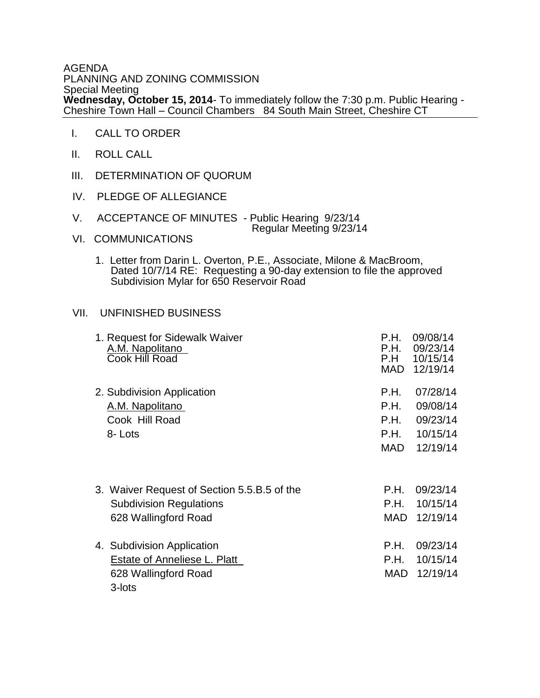## AGENDA PLANNING AND ZONING COMMISSION Special Meeting **Wednesday, October 15, 2014**- To immediately follow the 7:30 p.m. Public Hearing - Cheshire Town Hall – Council Chambers 84 South Main Street, Cheshire CT

- I. CALL TO ORDER
- II. ROLL CALL
- III. DETERMINATION OF QUORUM
- IV. PLEDGE OF ALLEGIANCE
- V. ACCEPTANCE OF MINUTES Public Hearing 9/23/14 Regular Meeting 9/23/14
- VI. COMMUNICATIONS
- 1. Letter from Darin L. Overton, P.E., Associate, Milone & MacBroom, Dated 10/7/14 RE: Requesting a 90-day extension to file the approved Subdivision Mylar for 650 Reservoir Road

## VII. UNFINISHED BUSINESS

| 1. Request for Sidewalk Waiver<br>A.M. Napolitano<br>Cook Hill Road                                   | P.H.<br>P.H.<br>P.H<br>MAD | 09/08/14<br>09/23/14<br>10/15/14<br>12/19/14 |
|-------------------------------------------------------------------------------------------------------|----------------------------|----------------------------------------------|
| 2. Subdivision Application                                                                            | P.H.                       | 07/28/14                                     |
| A.M. Napolitano                                                                                       | P.H.                       | 09/08/14                                     |
| Cook Hill Road                                                                                        | P.H.                       | 09/23/14                                     |
| 8-Lots                                                                                                | P.H.                       | 10/15/14                                     |
|                                                                                                       | MAD                        | 12/19/14                                     |
| 3. Waiver Request of Section 5.5.B.5 of the<br><b>Subdivision Regulations</b><br>628 Wallingford Road | P.H.<br>P.H.<br><b>MAD</b> | 09/23/14<br>10/15/14<br>12/19/14             |
| 4. Subdivision Application<br>Estate of Anneliese L. Platt<br>628 Wallingford Road<br>3-lots          | P.H.<br>P.H.<br>MAD        | 09/23/14<br>10/15/14<br>12/19/14             |